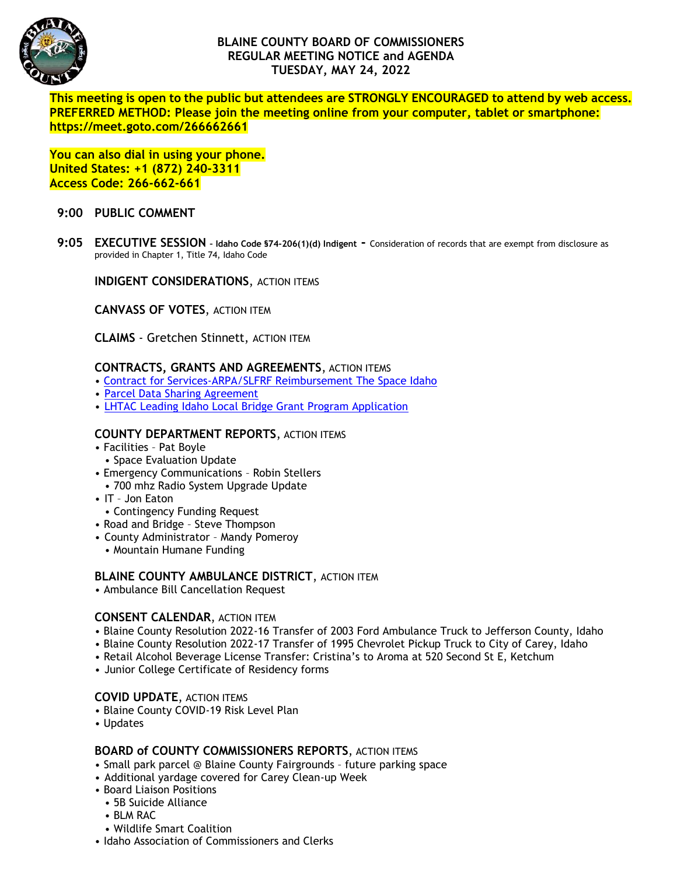

# **BLAINE COUNTY BOARD OF COMMISSIONERS REGULAR MEETING NOTICE and AGENDA TUESDAY, MAY 24, 2022**

**This meeting is open to the public but attendees are STRONGLY ENCOURAGED to attend by web access. PREFERRED METHOD: Please join the meeting online from your computer, tablet or smartphone: https://meet.goto.com/266662661**

**You can also dial in using your phone. United States: +1 (872) 240-3311 Access Code: 266-662-661**

# **9:00 PUBLIC COMMENT**

**9:05 EXECUTIVE SESSION – Idaho Code §74-206(1)(d) Indigent -** Consideration of records that are exempt from disclosure as provided in Chapter 1, Title 74, Idaho Code

**INDIGENT CONSIDERATIONS**, ACTION ITEMS

**CANVASS OF VOTES**, ACTION ITEM

**CLAIMS** - Gretchen Stinnett, ACTION ITEM

# **CONTRACTS, GRANTS AND AGREEMENTS**, ACTION ITEMS

- [Contract for Services-ARPA/SLFRF Reimbursement The Space Idaho](https://www.co.blaine.id.us/DocumentCenter/View/18688/The-Space-Idaho)
- [Parcel Data Sharing Agreement](https://www.co.blaine.id.us/DocumentCenter/View/18756/Parcels-data-sharing-agreement--Draft)
- [LHTAC Leading Idaho Local Bridge Grant Program Application](https://www.co.blaine.id.us/DocumentCenter/View/18755/FY22-LHTAC-LILB-Program-Grant-Application-packet)

### **COUNTY DEPARTMENT REPORTS**, ACTION ITEMS

- Facilities Pat Boyle
- Space Evaluation Update
- Emergency Communications Robin Stellers
- 700 mhz Radio System Upgrade Update
- IT Jon Eaton
- Contingency Funding Request
- Road and Bridge Steve Thompson
- County Administrator Mandy Pomeroy
	- Mountain Humane Funding

# **BLAINE COUNTY AMBULANCE DISTRICT, ACTION ITEM**

• Ambulance Bill Cancellation Request

# **CONSENT CALENDAR**, ACTION ITEM

- Blaine County Resolution 2022-16 Transfer of 2003 Ford Ambulance Truck to Jefferson County, Idaho
- Blaine County Resolution 2022-17 Transfer of 1995 Chevrolet Pickup Truck to City of Carey, Idaho
- Retail Alcohol Beverage License Transfer: Cristina's to Aroma at 520 Second St E, Ketchum
- Junior College Certificate of Residency forms

#### **COVID UPDATE**, ACTION ITEMS

- Blaine County COVID-19 Risk Level Plan
- Updates

#### **BOARD of COUNTY COMMISSIONERS REPORTS**, ACTION ITEMS

- Small park parcel @ Blaine County Fairgrounds future parking space
- Additional yardage covered for Carey Clean-up Week
- Board Liaison Positions
	- 5B Suicide Alliance
	- BLM RAC
	- Wildlife Smart Coalition
- Idaho Association of Commissioners and Clerks